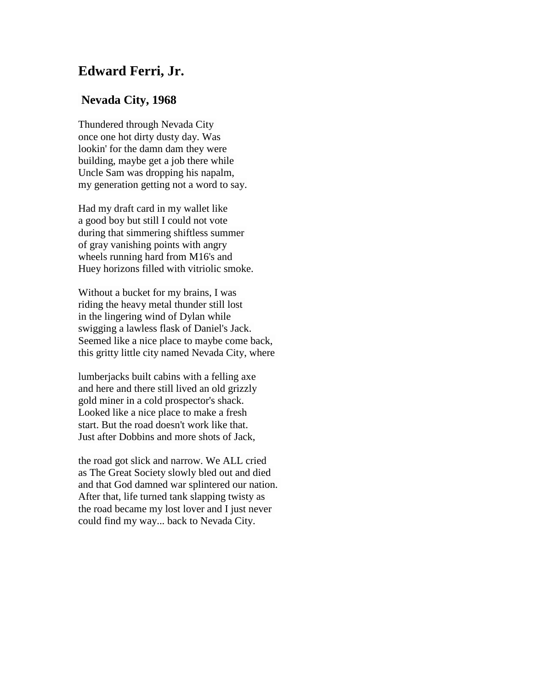## **Edward Ferri, Jr.**

## **Nevada City, 1968**

Thundered through Nevada City once one hot dirty dusty day. Was lookin' for the damn dam they were building, maybe get a job there while Uncle Sam was dropping his napalm, my generation getting not a word to say.

Had my draft card in my wallet like a good boy but still I could not vote during that simmering shiftless summer of gray vanishing points with angry wheels running hard from M16's and Huey horizons filled with vitriolic smoke.

Without a bucket for my brains, I was riding the heavy metal thunder still lost in the lingering wind of Dylan while swigging a lawless flask of Daniel's Jack. Seemed like a nice place to maybe come back, this gritty little city named Nevada City, where

lumberjacks built cabins with a felling axe and here and there still lived an old grizzly gold miner in a cold prospector's shack. Looked like a nice place to make a fresh start. But the road doesn't work like that. Just after Dobbins and more shots of Jack,

the road got slick and narrow. We ALL cried as The Great Society slowly bled out and died and that God damned war splintered our nation. After that, life turned tank slapping twisty as the road became my lost lover and I just never could find my way... back to Nevada City.